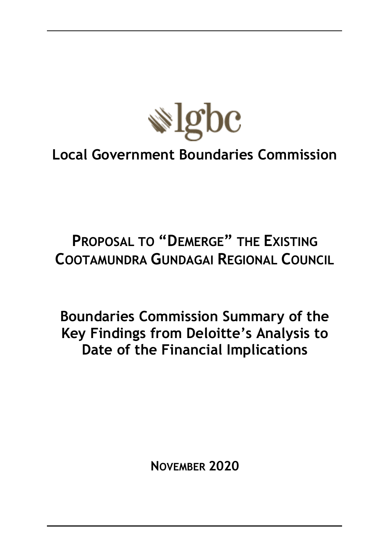

# **Local Government Boundaries Commission**

# **PROPOSAL TO "DEMERGE" THE EXISTING COOTAMUNDRA GUNDAGAI REGIONAL COUNCIL**

**Boundaries Commission Summary of the Key Findings from Deloitte's Analysis to Date of the Financial Implications**

**NOVEMBER 2020**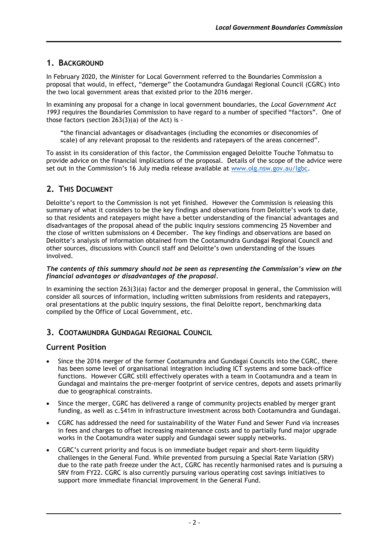## **1. BACKGROUND**

In February 2020, the Minister for Local Government referred to the Boundaries Commission a proposal that would, in effect, "demerge" the Cootamundra Gundagai Regional Council (CGRC) into the two local government areas that existed prior to the 2016 merger.

In examining any proposal for a change in local government boundaries, the *Local Government Act 1993* requires the Boundaries Commission to have regard to a number of specified "factors". One of those factors (section 263(3)(a) of the Act) is -

"the financial advantages or disadvantages (including the economies or diseconomies of scale) of any relevant proposal to the residents and ratepayers of the areas concerned".

To assist in its consideration of this factor, the Commission engaged Deloitte Touche Tohmatsu to provide advice on the financial implications of the proposal. Details of the scope of the advice were set out in the Commission's 16 July media release available at [www.olg.nsw.gov.au/lgbc.](file:///C:/Users/samuir/AppData/Local/Microsoft/Windows/INetCache/Content.Outlook/RSRUCTDE/www.olg.nsw.gov.au/lgbc)

# **2. THIS DOCUMENT**

Deloitte's report to the Commission is not yet finished. However the Commission is releasing this summary of what it considers to be the key findings and observations from Deloitte's work to date, so that residents and ratepayers might have a better understanding of the financial advantages and disadvantages of the proposal ahead of the public inquiry sessions commencing 25 November and the close of written submissions on 4 December. The key findings and observations are based on Deloitte's analysis of information obtained from the Cootamundra Gundagai Regional Council and other sources, discussions with Council staff and Deloitte's own understanding of the issues involved.

#### *The contents of this summary should not be seen as representing the Commission's view on the financial advantages or disadvantages of the proposal.*

In examining the section 263(3)(a) factor and the demerger proposal in general, the Commission will consider all sources of information, including written submissions from residents and ratepayers, oral presentations at the public inquiry sessions, the final Deloitte report, benchmarking data compiled by the Office of Local Government, etc.

# **3. COOTAMUNDRA GUNDAGAI REGIONAL COUNCIL**

## **Current Position**

- Since the 2016 merger of the former Cootamundra and Gundagai Councils into the CGRC, there has been some level of organisational integration including ICT systems and some back-office functions. However CGRC still effectively operates with a team in Cootamundra and a team in Gundagai and maintains the pre-merger footprint of service centres, depots and assets primarily due to geographical constraints.
- Since the merger, CGRC has delivered a range of community projects enabled by merger grant funding, as well as c.\$41m in infrastructure investment across both Cootamundra and Gundagai.
- CGRC has addressed the need for sustainability of the Water Fund and Sewer Fund via increases in fees and charges to offset increasing maintenance costs and to partially fund major upgrade works in the Cootamundra water supply and Gundagai sewer supply networks.
- CGRC's current priority and focus is on immediate budget repair and short-term liquidity challenges in the General Fund. While prevented from pursuing a Special Rate Variation (SRV) due to the rate path freeze under the Act, CGRC has recently harmonised rates and is pursuing a SRV from FY22. CGRC is also currently pursuing various operating cost savings initiatives to support more immediate financial improvement in the General Fund.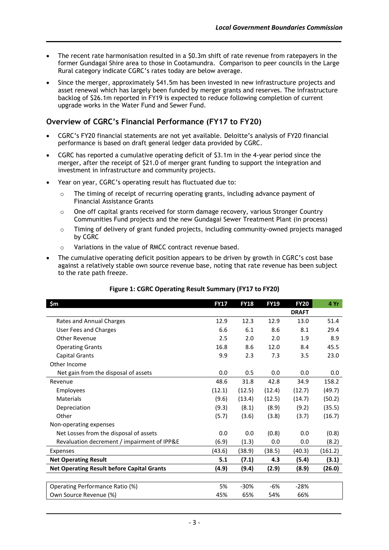- The recent rate harmonisation resulted in a \$0.3m shift of rate revenue from ratepayers in the former Gundagai Shire area to those in Cootamundra. Comparison to peer councils in the Large Rural category indicate CGRC's rates today are below average.
- Since the merger, approximately \$41.5m has been invested in new infrastructure projects and asset renewal which has largely been funded by merger grants and reserves. The infrastructure backlog of \$26.1m reported in FY19 is expected to reduce following completion of current upgrade works in the Water Fund and Sewer Fund.

## **Overview of CGRC's Financial Performance (FY17 to FY20)**

- CGRC's FY20 financial statements are not yet available. Deloitte's analysis of FY20 financial performance is based on draft general ledger data provided by CGRC.
- CGRC has reported a cumulative operating deficit of \$3.1m in the 4-year period since the merger, after the receipt of \$21.0 of merger grant funding to support the integration and investment in infrastructure and community projects.
- Year on year, CGRC's operating result has fluctuated due to:
	- $\circ$  The timing of receipt of recurring operating grants, including advance payment of Financial Assistance Grants
	- o One off capital grants received for storm damage recovery, various Stronger Country Communities Fund projects and the new Gundagai Sewer Treatment Plant (in process)
	- $\circ$  Timing of delivery of grant funded projects, including community-owned projects managed by CGRC
	- o Variations in the value of RMCC contract revenue based.
- The cumulative operating deficit position appears to be driven by growth in CGRC's cost base against a relatively stable own source revenue base, noting that rate revenue has been subject to the rate path freeze.

| \$m\$                                             | <b>FY17</b> | <b>FY18</b> | <b>FY19</b> | <b>FY20</b>  | 4 Yr    |
|---------------------------------------------------|-------------|-------------|-------------|--------------|---------|
|                                                   |             |             |             | <b>DRAFT</b> |         |
| Rates and Annual Charges                          | 12.9        | 12.3        | 12.9        | 13.0         | 51.4    |
| User Fees and Charges                             | 6.6         | 6.1         | 8.6         | 8.1          | 29.4    |
| <b>Other Revenue</b>                              | 2.5         | 2.0         | 2.0         | 1.9          | 8.9     |
| <b>Operating Grants</b>                           | 16.8        | 8.6         | 12.0        | 8.4          | 45.5    |
| <b>Capital Grants</b>                             | 9.9         | 2.3         | 7.3         | 3.5          | 23.0    |
| Other Income                                      |             |             |             |              |         |
| Net gain from the disposal of assets              | 0.0         | 0.5         | 0.0         | 0.0          | 0.0     |
| Revenue                                           | 48.6        | 31.8        | 42.8        | 34.9         | 158.2   |
| <b>Employees</b>                                  | (12.1)      | (12.5)      | (12.4)      | (12.7)       | (49.7)  |
| Materials                                         | (9.6)       | (13.4)      | (12.5)      | (14.7)       | (50.2)  |
| Depreciation                                      | (9.3)       | (8.1)       | (8.9)       | (9.2)        | (35.5)  |
| Other                                             | (5.7)       | (3.6)       | (3.8)       | (3.7)        | (16.7)  |
| Non-operating expenses                            |             |             |             |              |         |
| Net Losses from the disposal of assets            | 0.0         | 0.0         | (0.8)       | 0.0          | (0.8)   |
| Revaluation decrement / impairment of IPP&E       | (6.9)       | (1.3)       | 0.0         | 0.0          | (8.2)   |
| Expenses                                          | (43.6)      | (38.9)      | (38.5)      | (40.3)       | (161.2) |
| <b>Net Operating Result</b>                       | 5.1         | (7.1)       | 4.3         | (5.4)        | (3.1)   |
| <b>Net Operating Result before Capital Grants</b> | (4.9)       | (9.4)       | (2.9)       | (8.9)        | (26.0)  |
|                                                   |             |             |             |              |         |
| Operating Performance Ratio (%)                   | 5%          | $-30%$      | -6%         | $-28%$       |         |
| Own Source Revenue (%)                            | 45%         | 65%         | 54%         | 66%          |         |

#### **Figure 1: CGRC Operating Result Summary (FY17 to FY20)**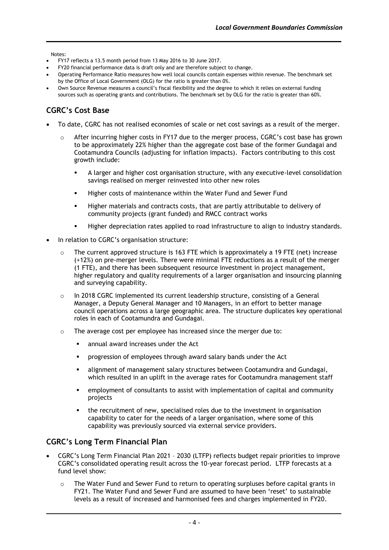Notes:

- FY17 reflects a 13.5 month period from 13 May 2016 to 30 June 2017.
- FY20 financial performance data is draft only and are therefore subject to change.
- Operating Performance Ratio measures how well local councils contain expenses within revenue. The benchmark set by the Office of Local Government (OLG) for the ratio is greater than 0%.
- Own Source Revenue measures a council's fiscal flexibility and the degree to which it relies on external funding sources such as operating grants and contributions. The benchmark set by OLG for the ratio is greater than 60%.

# **CGRC's Cost Base**

- To date, CGRC has not realised economies of scale or net cost savings as a result of the merger.
	- $\circ$  After incurring higher costs in FY17 due to the merger process, CGRC's cost base has grown to be approximately 22% higher than the aggregate cost base of the former Gundagai and Cootamundra Councils (adjusting for inflation impacts). Factors contributing to this cost growth include:
		- A larger and higher cost organisation structure, with any executive-level consolidation savings realised on merger reinvested into other new roles
		- Higher costs of maintenance within the Water Fund and Sewer Fund
		- Higher materials and contracts costs, that are partly attributable to delivery of community projects (grant funded) and RMCC contract works
		- Higher depreciation rates applied to road infrastructure to align to industry standards.
- In relation to CGRC's organisation structure:
	- o The current approved structure is 163 FTE which is approximately a 19 FTE (net) increase (+12%) on pre-merger levels. There were minimal FTE reductions as a result of the merger (1 FTE), and there has been subsequent resource investment in project management, higher regulatory and quality requirements of a larger organisation and insourcing planning and surveying capability.
	- o In 2018 CGRC implemented its current leadership structure, consisting of a General Manager, a Deputy General Manager and 10 Managers, in an effort to better manage council operations across a large geographic area. The structure duplicates key operational roles in each of Cootamundra and Gundagai.
	- o The average cost per employee has increased since the merger due to:
		- annual award increases under the Act
		- **•** progression of employees through award salary bands under the Act
		- **E.** alignment of management salary structures between Cootamundra and Gundagai, which resulted in an uplift in the average rates for Cootamundra management staff
		- employment of consultants to assist with implementation of capital and community projects
		- the recruitment of new, specialised roles due to the investment in organisation capability to cater for the needs of a larger organisation, where some of this capability was previously sourced via external service providers.

## **CGRC's Long Term Financial Plan**

- CGRC's Long Term Financial Plan 2021 2030 (LTFP) reflects budget repair priorities to improve CGRC's consolidated operating result across the 10-year forecast period. LTFP forecasts at a fund level show:
	- $\circ$  The Water Fund and Sewer Fund to return to operating surpluses before capital grants in FY21. The Water Fund and Sewer Fund are assumed to have been 'reset' to sustainable levels as a result of increased and harmonised fees and charges implemented in FY20.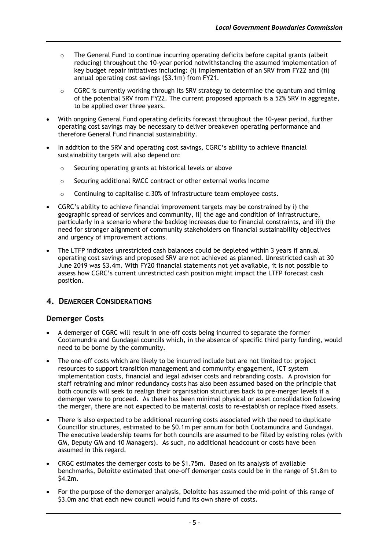- $\circ$  The General Fund to continue incurring operating deficits before capital grants (albeit reducing) throughout the 10-year period notwithstanding the assumed implementation of key budget repair initiatives including: (i) implementation of an SRV from FY22 and (ii) annual operating cost savings (\$3.1m) from FY21.
- $\circ$  CGRC is currently working through its SRV strategy to determine the quantum and timing of the potential SRV from FY22. The current proposed approach is a 52% SRV in aggregate, to be applied over three years.
- With ongoing General Fund operating deficits forecast throughout the 10-year period, further operating cost savings may be necessary to deliver breakeven operating performance and therefore General Fund financial sustainability.
- In addition to the SRV and operating cost savings, CGRC's ability to achieve financial sustainability targets will also depend on:
	- o Securing operating grants at historical levels or above
	- o Securing additional RMCC contract or other external works income
	- $\circ$  Continuing to capitalise c.30% of infrastructure team employee costs.
- CGRC's ability to achieve financial improvement targets may be constrained by i) the geographic spread of services and community, ii) the age and condition of infrastructure, particularly in a scenario where the backlog increases due to financial constraints, and iii) the need for stronger alignment of community stakeholders on financial sustainability objectives and urgency of improvement actions.
- The LTFP indicates unrestricted cash balances could be depleted within 3 years if annual operating cost savings and proposed SRV are not achieved as planned. Unrestricted cash at 30 June 2019 was \$3.4m. With FY20 financial statements not yet available, it is not possible to assess how CGRC's current unrestricted cash position might impact the LTFP forecast cash position.

## **4. DEMERGER CONSIDERATIONS**

#### **Demerger Costs**

- A demerger of CGRC will result in one-off costs being incurred to separate the former Cootamundra and Gundagai councils which, in the absence of specific third party funding, would need to be borne by the community.
- The one-off costs which are likely to be incurred include but are not limited to: project resources to support transition management and community engagement, ICT system implementation costs, financial and legal adviser costs and rebranding costs. A provision for staff retraining and minor redundancy costs has also been assumed based on the principle that both councils will seek to realign their organisation structures back to pre-merger levels if a demerger were to proceed. As there has been minimal physical or asset consolidation following the merger, there are not expected to be material costs to re-establish or replace fixed assets.
- There is also expected to be additional recurring costs associated with the need to duplicate Councillor structures, estimated to be \$0.1m per annum for both Cootamundra and Gundagai. The executive leadership teams for both councils are assumed to be filled by existing roles (with GM, Deputy GM and 10 Managers). As such, no additional headcount or costs have been assumed in this regard.
- CRGC estimates the demerger costs to be \$1.75m. Based on its analysis of available benchmarks, Deloitte estimated that one-off demerger costs could be in the range of \$1.8m to \$4.2m.
- For the purpose of the demerger analysis, Deloitte has assumed the mid-point of this range of \$3.0m and that each new council would fund its own share of costs.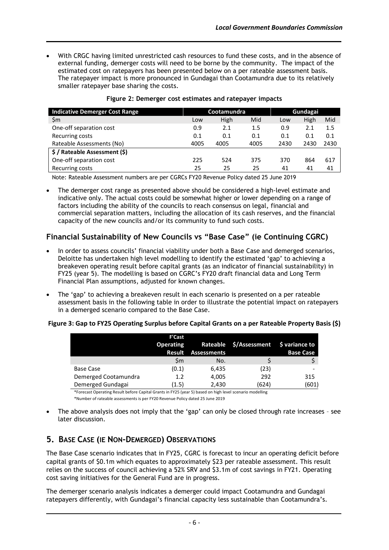• With CRGC having limited unrestricted cash resources to fund these costs, and in the absence of external funding, demerger costs will need to be borne by the community. The impact of the estimated cost on ratepayers has been presented below on a per rateable assessment basis. The ratepayer impact is more pronounced in Gundagai than Cootamundra due to its relatively smaller ratepayer base sharing the costs.

| <b>Indicative Demerger Cost Range</b> | Cootamundra |      | Gundagai |      |      |      |
|---------------------------------------|-------------|------|----------|------|------|------|
| $\mathsf{Sm}$                         | Low         | High | Mid      | Low  | High | Mid  |
| One-off separation cost               | 0.9         | 2.1  | 1.5      | 0.9  | 2.1  | 1.5  |
| Recurring costs                       | 0.1         | 0.1  | 0.1      | 0.1  | 0.1  | 0.1  |
| Rateable Assessments (No)             | 4005        | 4005 | 4005     | 2430 | 2430 | 2430 |
| \$/Rateable Assessment (\$)           |             |      |          |      |      |      |
| One-off separation cost               | 225         | 524  | 375      | 370  | 864  | 617  |
| Recurring costs                       | 25          | 25   | 25       | 41   | 41   | 41   |

#### **Figure 2: Demerger cost estimates and ratepayer impacts**

Note: Rateable Assessment numbers are per CGRCs FY20 Revenue Policy dated 25 June 2019

• The demerger cost range as presented above should be considered a high-level estimate and indicative only. The actual costs could be somewhat higher or lower depending on a range of factors including the ability of the councils to reach consensus on legal, financial and commercial separation matters, including the allocation of its cash reserves, and the financial capacity of the new councils and/or its community to fund such costs.

### **Financial Sustainability of New Councils vs "Base Case" (ie Continuing CGRC)**

- In order to assess councils' financial viability under both a Base Case and demerged scenarios, Deloitte has undertaken high level modelling to identify the estimated 'gap' to achieving a breakeven operating result before capital grants (as an indicator of financial sustainability) in FY25 (year 5). The modelling is based on CGRC's FY20 draft financial data and Long Term Financial Plan assumptions, adjusted for known changes.
- The 'gap' to achieving a breakeven result in each scenario is presented on a per rateable assessment basis in the following table in order to illustrate the potential impact on ratepayers in a demerged scenario compared to the Base Case.

#### **Figure 3: Gap to FY25 Operating Surplus before Capital Grants on a per Rateable Property Basis (\$)**

|                      | <b>F'Cast</b><br><b>Operating</b><br>Result | <b>Assessments</b> | Rateable \$/Assessment \$ variance to | <b>Base Case</b> |
|----------------------|---------------------------------------------|--------------------|---------------------------------------|------------------|
|                      | Sm                                          | No.                |                                       |                  |
| Base Case            | (0.1)                                       | 6,435              | (23)                                  |                  |
| Demerged Cootamundra | 1.2                                         | 4,005              | 292                                   | 315              |
| Demerged Gundagai    | (1.5)                                       | 2,430              | (624)                                 | (601)            |

\*Forecast Operating Result before Capital Grants in FY25 (year 5) based on high level scenario modelling

\*Number of rateable assessments is per FY20 Revenue Policy dated 25 June 2019

• The above analysis does not imply that the 'gap' can only be closed through rate increases – see later discussion.

# **5. BASE CASE (IE NON-DEMERGED) OBSERVATIONS**

The Base Case scenario indicates that in FY25, CGRC is forecast to incur an operating deficit before capital grants of \$0.1m which equates to approximately \$23 per rateable assessment. This result relies on the success of council achieving a 52% SRV and \$3.1m of cost savings in FY21. Operating cost saving initiatives for the General Fund are in progress.

The demerger scenario analysis indicates a demerger could impact Cootamundra and Gundagai ratepayers differently, with Gundagai's financial capacity less sustainable than Cootamundra's.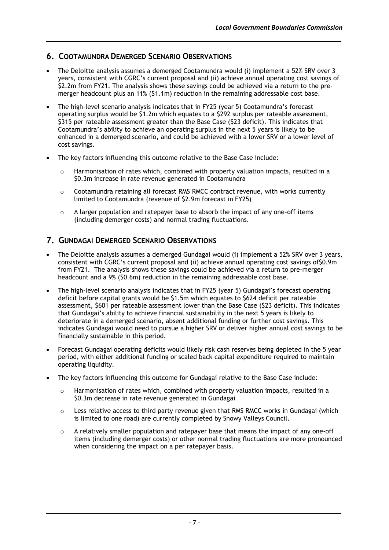## **6. COOTAMUNDRA DEMERGED SCENARIO OBSERVATIONS**

- The Deloitte analysis assumes a demerged Cootamundra would (i) implement a 52% SRV over 3 years, consistent with CGRC's current proposal and (ii) achieve annual operating cost savings of \$2.2m from FY21. The analysis shows these savings could be achieved via a return to the premerger headcount plus an 11% (\$1.1m) reduction in the remaining addressable cost base.
- The high-level scenario analysis indicates that in FY25 (year 5) Cootamundra's forecast operating surplus would be \$1.2m which equates to a \$292 surplus per rateable assessment, \$315 per rateable assessment greater than the Base Case (\$23 deficit). This indicates that Cootamundra's ability to achieve an operating surplus in the next 5 years is likely to be enhanced in a demerged scenario, and could be achieved with a lower SRV or a lower level of cost savings.
- The key factors influencing this outcome relative to the Base Case include:
	- $\circ$  Harmonisation of rates which, combined with property valuation impacts, resulted in a \$0.3m increase in rate revenue generated in Cootamundra
	- $\circ$  Cootamundra retaining all forecast RMS RMCC contract revenue, with works currently limited to Cootamundra (revenue of \$2.9m forecast in FY25)
	- $\circ$  A larger population and ratepayer base to absorb the impact of any one-off items (including demerger costs) and normal trading fluctuations.

# **7. GUNDAGAI DEMERGED SCENARIO OBSERVATIONS**

- The Deloitte analysis assumes a demerged Gundagai would (i) implement a 52% SRV over 3 years, consistent with CGRC's current proposal and (ii) achieve annual operating cost savings of\$0.9m from FY21. The analysis shows these savings could be achieved via a return to pre-merger headcount and a 9% (\$0.6m) reduction in the remaining addressable cost base.
- The high-level scenario analysis indicates that in FY25 (year 5) Gundagai's forecast operating deficit before capital grants would be \$1.5m which equates to \$624 deficit per rateable assessment, \$601 per rateable assessment lower than the Base Case (\$23 deficit). This indicates that Gundagai's ability to achieve financial sustainability in the next 5 years is likely to deteriorate in a demerged scenario, absent additional funding or further cost savings. This indicates Gundagai would need to pursue a higher SRV or deliver higher annual cost savings to be financially sustainable in this period.
- Forecast Gundagai operating deficits would likely risk cash reserves being depleted in the 5 year period, with either additional funding or scaled back capital expenditure required to maintain operating liquidity.
- The key factors influencing this outcome for Gundagai relative to the Base Case include:
	- $\circ$  Harmonisation of rates which, combined with property valuation impacts, resulted in a \$0.3m decrease in rate revenue generated in Gundagai
	- $\circ$  Less relative access to third party revenue given that RMS RMCC works in Gundagai (which is limited to one road) are currently completed by Snowy Valleys Council.
	- $\circ$  A relatively smaller population and ratepayer base that means the impact of any one-off items (including demerger costs) or other normal trading fluctuations are more pronounced when considering the impact on a per ratepayer basis.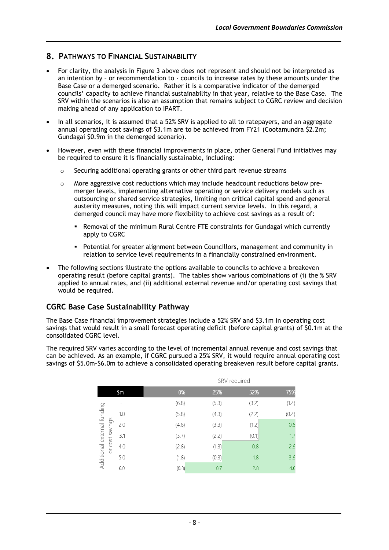# **8. PATHWAYS TO FINANCIAL SUSTAINABILITY**

- For clarity, the analysis in Figure 3 above does not represent and should not be interpreted as an intention by – or recommendation to - councils to increase rates by these amounts under the Base Case or a demerged scenario. Rather it is a comparative indicator of the demerged councils' capacity to achieve financial sustainability in that year, relative to the Base Case. The SRV within the scenarios is also an assumption that remains subject to CGRC review and decision making ahead of any application to IPART.
- In all scenarios, it is assumed that a 52% SRV is applied to all to ratepayers, and an aggregate annual operating cost savings of \$3.1m are to be achieved from FY21 (Cootamundra \$2.2m; Gundagai \$0.9m in the demerged scenario).
- However, even with these financial improvements in place, other General Fund initiatives may be required to ensure it is financially sustainable, including:
	- o Securing additional operating grants or other third part revenue streams
	- o More aggressive cost reductions which may include headcount reductions below premerger levels, implementing alternative operating or service delivery models such as outsourcing or shared service strategies, limiting non critical capital spend and general austerity measures, noting this will impact current service levels. In this regard, a demerged council may have more flexibility to achieve cost savings as a result of:
		- Removal of the minimum Rural Centre FTE constraints for Gundagai which currently apply to CGRC
		- Potential for greater alignment between Councillors, management and community in relation to service level requirements in a financially constrained environment.
- The following sections illustrate the options available to councils to achieve a breakeven operating result (before capital grants). The tables show various combinations of (i) the % SRV applied to annual rates, and (ii) additional external revenue and/or operating cost savings that would be required.

## **CGRC Base Case Sustainability Pathway**

The Base Case financial improvement strategies include a 52% SRV and \$3.1m in operating cost savings that would result in a small forecast operating deficit (before capital grants) of \$0.1m at the consolidated CGRC level.

The required SRV varies according to the level of incremental annual revenue and cost savings that can be achieved. As an example, if CGRC pursued a 25% SRV, it would require annual operating cost savings of \$5.0m-\$6.0m to achieve a consolidated operating breakeven result before capital grants.

|     | SRV required |       |       |       |  |  |
|-----|--------------|-------|-------|-------|--|--|
| \$m | 0%           | 25%   | 52%   | 75%   |  |  |
|     | (6.8)        | (5.3) | (3.2) | (1.4) |  |  |
| 1.0 | (5.8)        | (4.3) | (2.2) | (0.4) |  |  |
| 2.0 | (4.8)        | (3.3) | (1.2) | 0.6   |  |  |
| 3.1 | (3.7)        | (2.2) | (0.1) | 1.7   |  |  |
| 4.0 | (2.8)        | (1.3) | 0.8   | 2.6   |  |  |
| 5.0 | (1.8)        | (0.3) | 1.8   | 3.6   |  |  |
| 6.0 | (0.8)        | 0.7   | 2.8   | 4.6   |  |  |
|     |              |       |       |       |  |  |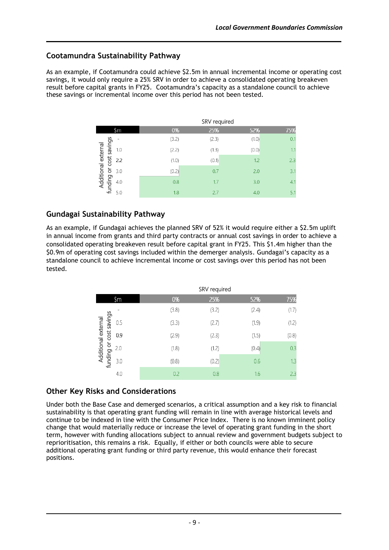## **Cootamundra Sustainability Pathway**

As an example, if Cootamundra could achieve \$2.5m in annual incremental income or operating cost savings, it would only require a 25% SRV in order to achieve a consolidated operating breakeven result before capital grants in FY25. Cootamundra's capacity as a standalone council to achieve these savings or incremental income over this period has not been tested.

| \$m | 0%    | 25%   |       | 75%                 |
|-----|-------|-------|-------|---------------------|
|     | (3.2) | (2.3) | (1.0) | 0.1                 |
| 1.0 | (2.2) | (1.3) | (0.0) | 1.1                 |
| 2.2 | (1.0) | (0.1) | 1.2   | 2.3                 |
| 3.0 | (0.2) | 0.7   | 2.0   | 3.1                 |
| 4.0 | 0.8   | 1.7   | 3.0   | 4.1                 |
| 5.0 | 1.8   | 2.7   | 4.0   | 5.1                 |
|     |       |       |       | SRV required<br>52% |

# **Gundagai Sustainability Pathway**

As an example, if Gundagai achieves the planned SRV of 52% it would require either a \$2.5m uplift in annual income from grants and third party contracts or annual cost savings in order to achieve a consolidated operating breakeven result before capital grant in FY25. This \$1.4m higher than the \$0.9m of operating cost savings included within the demerger analysis. Gundagai's capacity as a standalone council to achieve incremental income or cost savings over this period has not been tested.

|                                                   |     | SRV required |       |       |       |
|---------------------------------------------------|-----|--------------|-------|-------|-------|
|                                                   | \$m | 0%           | 25%   | 52%   | 75%   |
|                                                   |     | (3.8)        | (3.2) | (2.4) | (1.7) |
| cost savings<br>Additional external<br>funding or | 0.5 | (3.3)        | (2.7) | (1.9) | (1.2) |
|                                                   | 0.9 | (2.9)        | (2.3) | (1.5) | (0.8) |
|                                                   | 2.0 | (1.8)        | (1.2) | (0.4) | 0.3   |
|                                                   | 3.0 | (0.8)        | (0.2) | 0.6   | 1.3   |
|                                                   | 4.0 | 0.2          | 0.8   | 1.6   | 2.3   |

## **Other Key Risks and Considerations**

Under both the Base Case and demerged scenarios, a critical assumption and a key risk to financial sustainability is that operating grant funding will remain in line with average historical levels and continue to be indexed in line with the Consumer Price Index. There is no known imminent policy change that would materially reduce or increase the level of operating grant funding in the short term, however with funding allocations subject to annual review and government budgets subject to reprioritisation, this remains a risk. Equally, if either or both councils were able to secure additional operating grant funding or third party revenue, this would enhance their forecast positions.